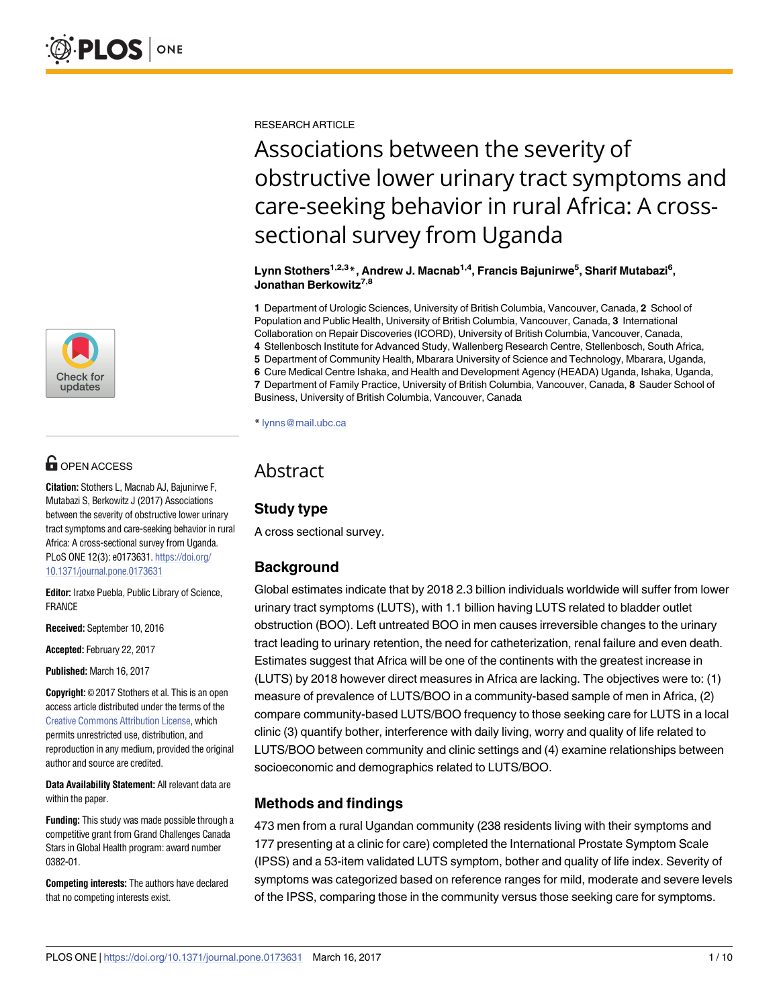

# $\mathbf{G}$  OPEN ACCESS

**Citation:** Stothers L, Macnab AJ, Bajunirwe F, Mutabazi S, Berkowitz J (2017) Associations between the severity of obstructive lower urinary tract symptoms and care-seeking behavior in rural Africa: A cross-sectional survey from Uganda. PLoS ONE 12(3): e0173631. [https://doi.org/](https://doi.org/10.1371/journal.pone.0173631) [10.1371/journal.pone.0173631](https://doi.org/10.1371/journal.pone.0173631)

**Editor:** Iratxe Puebla, Public Library of Science, FRANCE

**Received:** September 10, 2016

**Accepted:** February 22, 2017

**Published:** March 16, 2017

**Copyright:** © 2017 Stothers et al. This is an open access article distributed under the terms of the Creative Commons [Attribution](http://creativecommons.org/licenses/by/4.0/) License, which permits unrestricted use, distribution, and reproduction in any medium, provided the original author and source are credited.

**Data Availability Statement:** All relevant data are within the paper.

**Funding:** This study was made possible through a competitive grant from Grand Challenges Canada Stars in Global Health program: award number 0382-01.

**Competing interests:** The authors have declared that no competing interests exist.

RESEARCH ARTICLE

# Associations between the severity of obstructive lower urinary tract symptoms and care-seeking behavior in rural Africa: A crosssectional survey from Uganda

 $L$ ynn Stothers $^{1,2,3}$ \*, Andrew J. Macnab $^{1,4}$ , Francis Bajunirwe $^5$ , Sharif Mutabazi $^6$ , **Jonathan Berkowitz7,8**

**1** Department of Urologic Sciences, University of British Columbia, Vancouver, Canada, **2** School of Population and Public Health, University of British Columbia, Vancouver, Canada, **3** International Collaboration on Repair Discoveries (ICORD), University of British Columbia, Vancouver, Canada, **4** Stellenbosch Institute for Advanced Study, Wallenberg Research Centre, Stellenbosch, South Africa,

**5** Department of Community Health, Mbarara University of Science and Technology, Mbarara, Uganda,

**6** Cure Medical Centre Ishaka, and Health and Development Agency (HEADA) Uganda, Ishaka, Uganda,

**7** Department of Family Practice, University of British Columbia, Vancouver, Canada, **8** Sauder School of Business, University of British Columbia, Vancouver, Canada

\* lynns@mail.ubc.ca

# Abstract

# **Study type**

A cross sectional survey.

# **Background**

Global estimates indicate that by 2018 2.3 billion individuals worldwide will suffer from lower urinary tract symptoms (LUTS), with 1.1 billion having LUTS related to bladder outlet obstruction (BOO). Left untreated BOO in men causes irreversible changes to the urinary tract leading to urinary retention, the need for catheterization, renal failure and even death. Estimates suggest that Africa will be one of the continents with the greatest increase in (LUTS) by 2018 however direct measures in Africa are lacking. The objectives were to: (1) measure of prevalence of LUTS/BOO in a community-based sample of men in Africa, (2) compare community-based LUTS/BOO frequency to those seeking care for LUTS in a local clinic (3) quantify bother, interference with daily living, worry and quality of life related to LUTS/BOO between community and clinic settings and (4) examine relationships between socioeconomic and demographics related to LUTS/BOO.

## **Methods and findings**

473 men from a rural Ugandan community (238 residents living with their symptoms and 177 presenting at a clinic for care) completed the International Prostate Symptom Scale (IPSS) and a 53-item validated LUTS symptom, bother and quality of life index. Severity of symptoms was categorized based on reference ranges for mild, moderate and severe levels of the IPSS, comparing those in the community versus those seeking care for symptoms.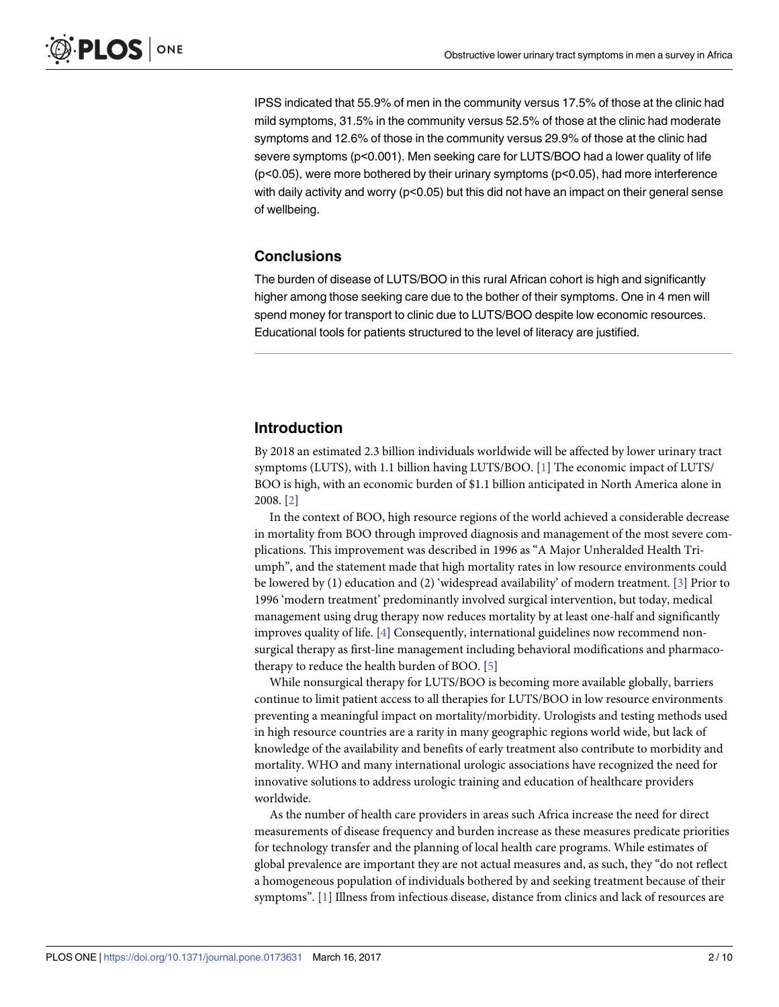<span id="page-1-0"></span>IPSS indicated that 55.9% of men in the community versus 17.5% of those at the clinic had mild symptoms, 31.5% in the community versus 52.5% of those at the clinic had moderate symptoms and 12.6% of those in the community versus 29.9% of those at the clinic had severe symptoms (p<0.001). Men seeking care for LUTS/BOO had a lower quality of life  $(p<0.05)$ , were more bothered by their urinary symptoms  $(p<0.05)$ , had more interference with daily activity and worry (p<0.05) but this did not have an impact on their general sense of wellbeing.

## **Conclusions**

The burden of disease of LUTS/BOO in this rural African cohort is high and significantly higher among those seeking care due to the bother of their symptoms. One in 4 men will spend money for transport to clinic due to LUTS/BOO despite low economic resources. Educational tools for patients structured to the level of literacy are justified.

## **Introduction**

By 2018 an estimated 2.3 billion individuals worldwide will be affected by lower urinary tract symptoms (LUTS), with 1.1 billion having LUTS/BOO. [\[1\]](#page-8-0) The economic impact of LUTS/ BOO is high, with an economic burden of \$1.1 billion anticipated in North America alone in 2008. [[2\]](#page-8-0)

In the context of BOO, high resource regions of the world achieved a considerable decrease in mortality from BOO through improved diagnosis and management of the most severe complications. This improvement was described in 1996 as "A Major Unheralded Health Triumph", and the statement made that high mortality rates in low resource environments could be lowered by (1) education and (2) 'widespread availability' of modern treatment. [[3](#page-8-0)] Prior to 1996 'modern treatment' predominantly involved surgical intervention, but today, medical management using drug therapy now reduces mortality by at least one-half and significantly improves quality of life. [\[4\]](#page-8-0) Consequently, international guidelines now recommend nonsurgical therapy as first-line management including behavioral modifications and pharmacotherapy to reduce the health burden of BOO. [\[5](#page-8-0)]

While nonsurgical therapy for LUTS/BOO is becoming more available globally, barriers continue to limit patient access to all therapies for LUTS/BOO in low resource environments preventing a meaningful impact on mortality/morbidity. Urologists and testing methods used in high resource countries are a rarity in many geographic regions world wide, but lack of knowledge of the availability and benefits of early treatment also contribute to morbidity and mortality. WHO and many international urologic associations have recognized the need for innovative solutions to address urologic training and education of healthcare providers worldwide.

As the number of health care providers in areas such Africa increase the need for direct measurements of disease frequency and burden increase as these measures predicate priorities for technology transfer and the planning of local health care programs. While estimates of global prevalence are important they are not actual measures and, as such, they "do not reflect a homogeneous population of individuals bothered by and seeking treatment because of their symptoms". [\[1\]](#page-8-0) Illness from infectious disease, distance from clinics and lack of resources are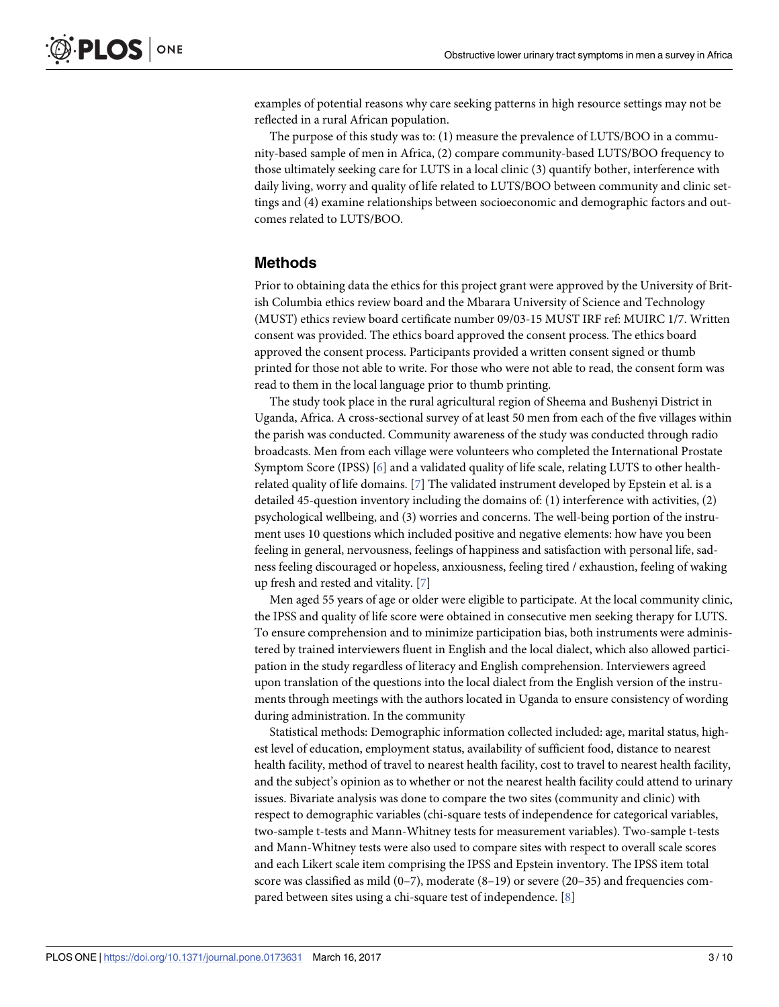<span id="page-2-0"></span>examples of potential reasons why care seeking patterns in high resource settings may not be reflected in a rural African population.

The purpose of this study was to: (1) measure the prevalence of LUTS/BOO in a community-based sample of men in Africa, (2) compare community-based LUTS/BOO frequency to those ultimately seeking care for LUTS in a local clinic (3) quantify bother, interference with daily living, worry and quality of life related to LUTS/BOO between community and clinic settings and (4) examine relationships between socioeconomic and demographic factors and outcomes related to LUTS/BOO.

### **Methods**

Prior to obtaining data the ethics for this project grant were approved by the University of British Columbia ethics review board and the Mbarara University of Science and Technology (MUST) ethics review board certificate number 09/03-15 MUST IRF ref: MUIRC 1/7. Written consent was provided. The ethics board approved the consent process. The ethics board approved the consent process. Participants provided a written consent signed or thumb printed for those not able to write. For those who were not able to read, the consent form was read to them in the local language prior to thumb printing.

The study took place in the rural agricultural region of Sheema and Bushenyi District in Uganda, Africa. A cross-sectional survey of at least 50 men from each of the five villages within the parish was conducted. Community awareness of the study was conducted through radio broadcasts. Men from each village were volunteers who completed the International Prostate Symptom Score (IPSS) [\[6\]](#page-8-0) and a validated quality of life scale, relating LUTS to other healthrelated quality of life domains. [\[7\]](#page-8-0) The validated instrument developed by Epstein et al. is a detailed 45-question inventory including the domains of: (1) interference with activities, (2) psychological wellbeing, and (3) worries and concerns. The well-being portion of the instrument uses 10 questions which included positive and negative elements: how have you been feeling in general, nervousness, feelings of happiness and satisfaction with personal life, sadness feeling discouraged or hopeless, anxiousness, feeling tired / exhaustion, feeling of waking up fresh and rested and vitality. [\[7](#page-8-0)]

Men aged 55 years of age or older were eligible to participate. At the local community clinic, the IPSS and quality of life score were obtained in consecutive men seeking therapy for LUTS. To ensure comprehension and to minimize participation bias, both instruments were administered by trained interviewers fluent in English and the local dialect, which also allowed participation in the study regardless of literacy and English comprehension. Interviewers agreed upon translation of the questions into the local dialect from the English version of the instruments through meetings with the authors located in Uganda to ensure consistency of wording during administration. In the community

Statistical methods: Demographic information collected included: age, marital status, highest level of education, employment status, availability of sufficient food, distance to nearest health facility, method of travel to nearest health facility, cost to travel to nearest health facility, and the subject's opinion as to whether or not the nearest health facility could attend to urinary issues. Bivariate analysis was done to compare the two sites (community and clinic) with respect to demographic variables (chi-square tests of independence for categorical variables, two-sample t-tests and Mann-Whitney tests for measurement variables). Two-sample t-tests and Mann-Whitney tests were also used to compare sites with respect to overall scale scores and each Likert scale item comprising the IPSS and Epstein inventory. The IPSS item total score was classified as mild (0–7), moderate (8–19) or severe (20–35) and frequencies compared between sites using a chi-square test of independence. [\[8\]](#page-8-0)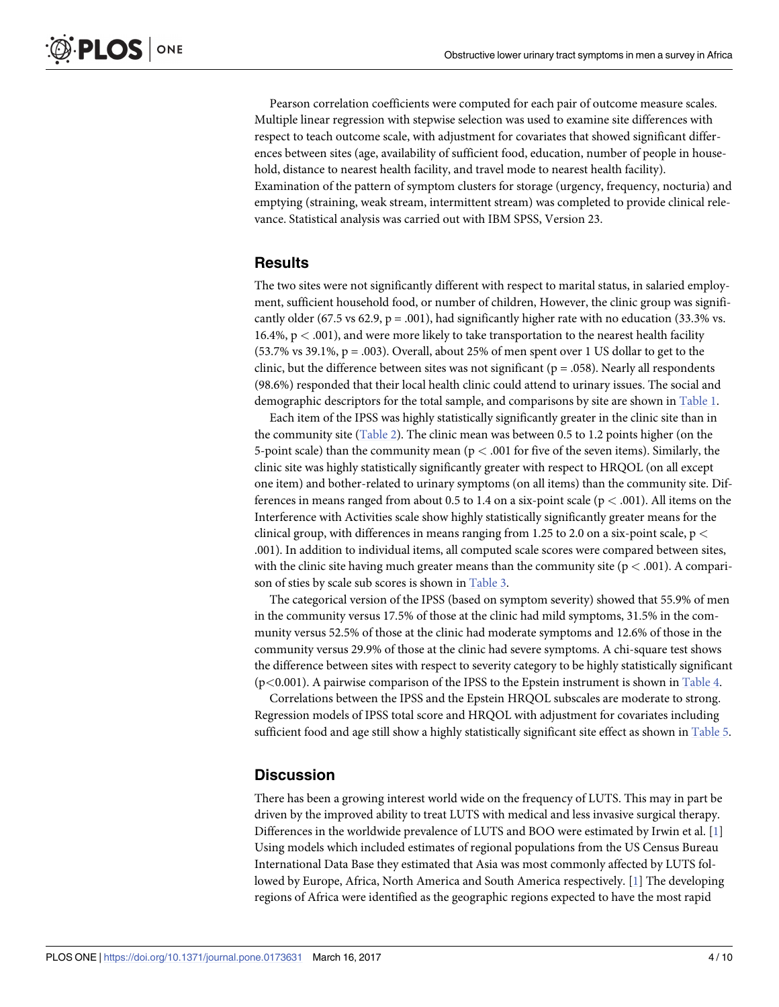<span id="page-3-0"></span>Pearson correlation coefficients were computed for each pair of outcome measure scales. Multiple linear regression with stepwise selection was used to examine site differences with respect to teach outcome scale, with adjustment for covariates that showed significant differences between sites (age, availability of sufficient food, education, number of people in household, distance to nearest health facility, and travel mode to nearest health facility). Examination of the pattern of symptom clusters for storage (urgency, frequency, nocturia) and emptying (straining, weak stream, intermittent stream) was completed to provide clinical relevance. Statistical analysis was carried out with IBM SPSS, Version 23.

### **Results**

The two sites were not significantly different with respect to marital status, in salaried employment, sufficient household food, or number of children, However, the clinic group was significantly older (67.5 vs 62.9,  $p = .001$ ), had significantly higher rate with no education (33.3% vs. 16.4%, p *<* .001), and were more likely to take transportation to the nearest health facility  $(53.7\% \text{ vs } 39.1\%, \text{ p} = .003)$ . Overall, about 25% of men spent over 1 US dollar to get to the clinic, but the difference between sites was not significant ( $p = .058$ ). Nearly all respondents (98.6%) responded that their local health clinic could attend to urinary issues. The social and demographic descriptors for the total sample, and comparisons by site are shown in [Table](#page-4-0) 1.

Each item of the IPSS was highly statistically significantly greater in the clinic site than in the community site ([Table](#page-5-0) 2). The clinic mean was between 0.5 to 1.2 points higher (on the 5-point scale) than the community mean (p *<* .001 for five of the seven items). Similarly, the clinic site was highly statistically significantly greater with respect to HRQOL (on all except one item) and bother-related to urinary symptoms (on all items) than the community site. Differences in means ranged from about 0.5 to 1.4 on a six-point scale (p *<* .001). All items on the Interference with Activities scale show highly statistically significantly greater means for the clinical group, with differences in means ranging from 1.25 to 2.0 on a six-point scale, p *<* .001). In addition to individual items, all computed scale scores were compared between sites, with the clinic site having much greater means than the community site (p *<* .001). A comparison of sties by scale sub scores is shown in [Table](#page-5-0) 3.

The categorical version of the IPSS (based on symptom severity) showed that 55.9% of men in the community versus 17.5% of those at the clinic had mild symptoms, 31.5% in the community versus 52.5% of those at the clinic had moderate symptoms and 12.6% of those in the community versus 29.9% of those at the clinic had severe symptoms. A chi-square test shows the difference between sites with respect to severity category to be highly statistically significant (p*<*0.001). A pairwise comparison of the IPSS to the Epstein instrument is shown in [Table](#page-5-0) 4.

Correlations between the IPSS and the Epstein HRQOL subscales are moderate to strong. Regression models of IPSS total score and HRQOL with adjustment for covariates including sufficient food and age still show a highly statistically significant site effect as shown in [Table](#page-6-0) 5.

### **Discussion**

There has been a growing interest world wide on the frequency of LUTS. This may in part be driven by the improved ability to treat LUTS with medical and less invasive surgical therapy. Differences in the worldwide prevalence of LUTS and BOO were estimated by Irwin et al. [[1](#page-8-0)] Using models which included estimates of regional populations from the US Census Bureau International Data Base they estimated that Asia was most commonly affected by LUTS followed by Europe, Africa, North America and South America respectively. [\[1](#page-8-0)] The developing regions of Africa were identified as the geographic regions expected to have the most rapid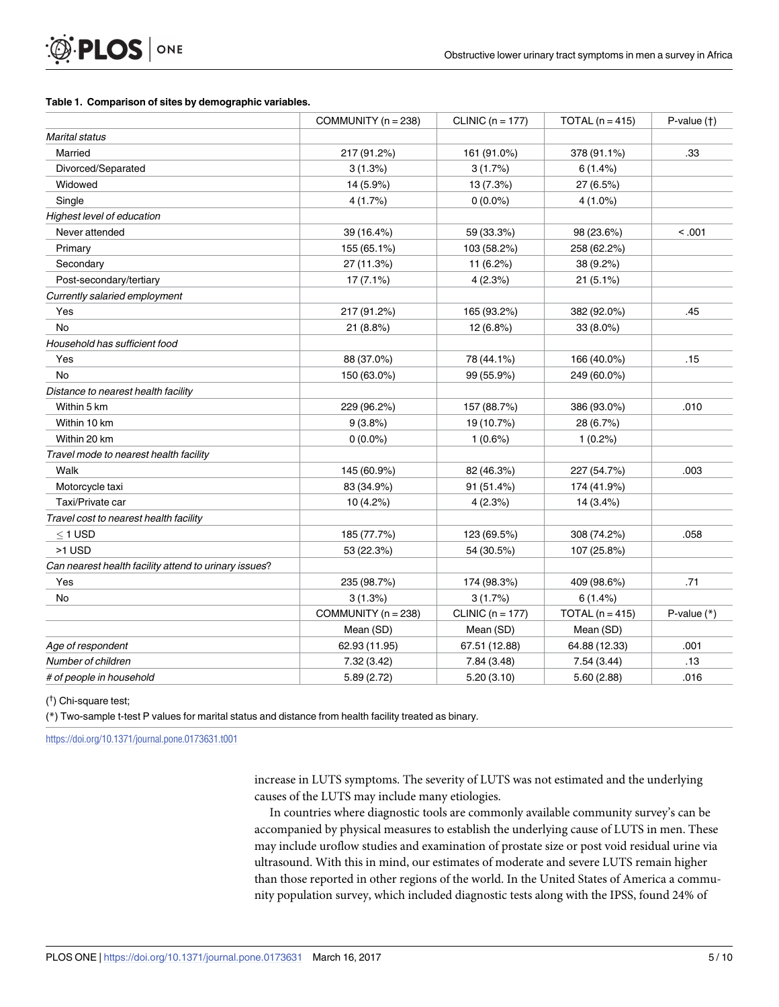#### <span id="page-4-0"></span>**[Table](#page-3-0) 1. Comparison of sites by demographic variables.**

|                                                       | COMMUNITY ( $n = 238$ ) | CLINIC ( $n = 177$ ) | TOTAL $(n = 415)$ | $P-value(t)$  |
|-------------------------------------------------------|-------------------------|----------------------|-------------------|---------------|
| <b>Marital status</b>                                 |                         |                      |                   |               |
| Married                                               | 217 (91.2%)             | 161 (91.0%)          | 378 (91.1%)       | .33           |
| Divorced/Separated                                    | 3(1.3%)                 | 3(1.7%)              | 6(1.4%)           |               |
| Widowed                                               | 14 (5.9%)               | 13 (7.3%)            | 27 (6.5%)         |               |
| Single                                                | 4(1.7%)                 | $0(0.0\%)$           | $4(1.0\%)$        |               |
| Highest level of education                            |                         |                      |                   |               |
| Never attended                                        | 39 (16.4%)              | 59 (33.3%)           | 98 (23.6%)        | < .001        |
| Primary                                               | 155 (65.1%)             | 103 (58.2%)          | 258 (62.2%)       |               |
| Secondary                                             | 27 (11.3%)              | 11 (6.2%)            | 38 (9.2%)         |               |
| Post-secondary/tertiary                               | $17(7.1\%)$             | 4(2.3%)              | 21(5.1%)          |               |
| Currently salaried employment                         |                         |                      |                   |               |
| Yes                                                   | 217 (91.2%)             | 165 (93.2%)          | 382 (92.0%)       | .45           |
| <b>No</b>                                             | 21(8.8%)                | 12 (6.8%)            | $33(8.0\%)$       |               |
| Household has sufficient food                         |                         |                      |                   |               |
| Yes                                                   | 88 (37.0%)              | 78 (44.1%)           | 166 (40.0%)       | .15           |
| <b>No</b>                                             | 150 (63.0%)             | 99 (55.9%)           | 249 (60.0%)       |               |
| Distance to nearest health facility                   |                         |                      |                   |               |
| Within 5 km                                           | 229 (96.2%)             | 157 (88.7%)          | 386 (93.0%)       | .010          |
| Within 10 km                                          | 9(3.8%)                 | 19 (10.7%)           | 28 (6.7%)         |               |
| Within 20 km                                          | $0(0.0\%)$              | $1(0.6\%)$           | $1(0.2\%)$        |               |
| Travel mode to nearest health facility                |                         |                      |                   |               |
| Walk                                                  | 145 (60.9%)             | 82 (46.3%)           | 227 (54.7%)       | .003          |
| Motorcycle taxi                                       | 83 (34.9%)              | 91 (51.4%)           | 174 (41.9%)       |               |
| Taxi/Private car                                      | 10 (4.2%)               | 4(2.3%)              | $14(3.4\%)$       |               |
| Travel cost to nearest health facility                |                         |                      |                   |               |
| $<$ 1 USD                                             | 185 (77.7%)             | 123 (69.5%)          | 308 (74.2%)       | .058          |
| >1 USD                                                | 53 (22.3%)              | 54 (30.5%)           | 107 (25.8%)       |               |
| Can nearest health facility attend to urinary issues? |                         |                      |                   |               |
| Yes                                                   | 235 (98.7%)             | 174 (98.3%)          | 409 (98.6%)       | .71           |
| No                                                    | 3(1.3%)                 | 3(1.7%)              | 6(1.4%)           |               |
|                                                       | COMMUNITY ( $n = 238$ ) | CLINIC ( $n = 177$ ) | TOTAL $(n = 415)$ | P-value $(*)$ |
|                                                       | Mean (SD)               | Mean (SD)            | Mean (SD)         |               |
| Age of respondent                                     | 62.93 (11.95)           | 67.51 (12.88)        | 64.88 (12.33)     | .001          |
| Number of children                                    | 7.32 (3.42)             | 7.84 (3.48)          | 7.54(3.44)        | .13           |
| # of people in household                              | 5.89 (2.72)             | 5.20(3.10)           | 5.60(2.88)        | .016          |

( † ) Chi-square test;

(\*) Two-sample t-test P values for marital status and distance from health facility treated as binary.

<https://doi.org/10.1371/journal.pone.0173631.t001>

increase in LUTS symptoms. The severity of LUTS was not estimated and the underlying causes of the LUTS may include many etiologies.

In countries where diagnostic tools are commonly available community survey's can be accompanied by physical measures to establish the underlying cause of LUTS in men. These may include uroflow studies and examination of prostate size or post void residual urine via ultrasound. With this in mind, our estimates of moderate and severe LUTS remain higher than those reported in other regions of the world. In the United States of America a community population survey, which included diagnostic tests along with the IPSS, found 24% of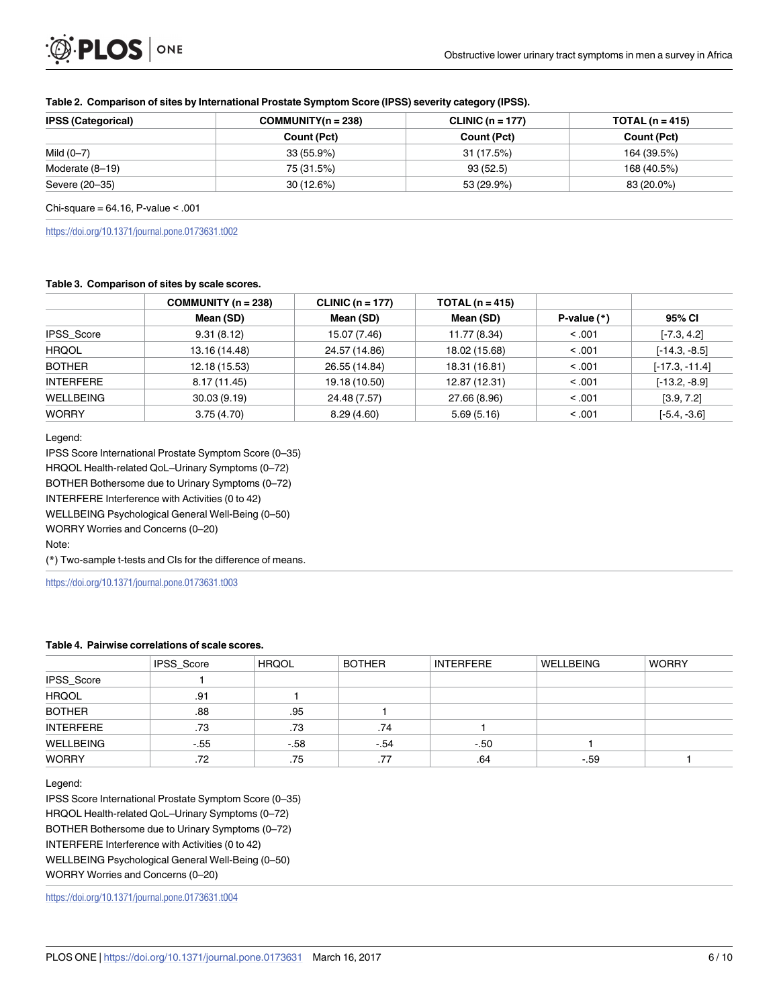| <b>IPSS (Categorical)</b> | $COMMUNITY(n = 238)$ | CLINIC $(n = 177)$ | TOTAL (n = 415) |  |
|---------------------------|----------------------|--------------------|-----------------|--|
|                           | Count (Pct)          | Count (Pct)        | Count (Pct)     |  |
| Mild $(0-7)$              | $33(55.9\%)$         | 31 (17.5%)         | 164 (39.5%)     |  |
| Moderate (8-19)           | 75 (31.5%)           | 93(52.5)           | 168 (40.5%)     |  |
| Severe (20–35)            | 30(12.6%)            | 53 (29.9%)         | 83 (20.0%)      |  |

#### <span id="page-5-0"></span>**[Table](#page-3-0) 2. Comparison of sites by International Prostate Symptom Score (IPSS) severity category (IPSS).**

Chi-square =  $64.16$ , P-value < .001

<https://doi.org/10.1371/journal.pone.0173631.t002>

#### **[Table](#page-3-0) 3. Comparison of sites by scale scores.**

|                   | COMMUNITY ( $n = 238$ ) | CLINIC ( $n = 177$ ) | TOTAL $(n = 415)$ |               |                  |
|-------------------|-------------------------|----------------------|-------------------|---------------|------------------|
|                   | Mean (SD)               | Mean (SD)            | Mean (SD)         | P-value $(*)$ | 95% CI           |
| <b>IPSS Score</b> | 9.31(8.12)              | 15.07 (7.46)         | 11.77 (8.34)      | < 0.001       | $[-7.3, 4.2]$    |
| <b>HRQOL</b>      | 13.16 (14.48)           | 24.57 (14.86)        | 18.02 (15.68)     | < 0.01        | $[-14.3, -8.5]$  |
| <b>BOTHER</b>     | 12.18 (15.53)           | 26.55 (14.84)        | 18.31 (16.81)     | < 0.001       | $[-17.3, -11.4]$ |
| <b>INTERFERE</b>  | 8.17 (11.45)            | 19.18 (10.50)        | 12.87 (12.31)     | < 0.001       | $[-13.2, -8.9]$  |
| WELLBEING         | 30.03(9.19)             | 24.48 (7.57)         | 27.66 (8.96)      | < 0.01        | [3.9, 7.2]       |
| <b>WORRY</b>      | 3.75(4.70)              | 8.29(4.60)           | 5.69(5.16)        | < 0.001       | $[-5.4, -3.6]$   |

Legend:

IPSS Score International Prostate Symptom Score (0–35)

HRQOL Health-related QoL–Urinary Symptoms (0–72)

BOTHER Bothersome due to Urinary Symptoms (0–72)

INTERFERE Interference with Activities (0 to 42)

WELLBEING Psychological General Well-Being (0–50)

WORRY Worries and Concerns (0–20)

Note:

(\*) Two-sample t-tests and CIs for the difference of means.

<https://doi.org/10.1371/journal.pone.0173631.t003>

#### **[Table](#page-3-0) 4. Pairwise correlations of scale scores.**

|                  | IPSS_Score | <b>HRQOL</b> | <b>BOTHER</b> | <b>INTERFERE</b> | <b>WELLBEING</b> | <b>WORRY</b> |
|------------------|------------|--------------|---------------|------------------|------------------|--------------|
| IPSS_Score       |            |              |               |                  |                  |              |
| <b>HRQOL</b>     | .91        |              |               |                  |                  |              |
| <b>BOTHER</b>    | .88        | .95          |               |                  |                  |              |
| <b>INTERFERE</b> | .73        | .73          | .74           |                  |                  |              |
| WELLBEING        | $-.55$     | $-.58$       | $-.54$        | $-50$            |                  |              |
| <b>WORRY</b>     | .72        | .75          | .77           | .64              | $-.59$           |              |

Legend:

IPSS Score International Prostate Symptom Score (0–35) HRQOL Health-related QoL–Urinary Symptoms (0–72) BOTHER Bothersome due to Urinary Symptoms (0–72) INTERFERE Interference with Activities (0 to 42) WELLBEING Psychological General Well-Being (0–50) WORRY Worries and Concerns (0–20)

<https://doi.org/10.1371/journal.pone.0173631.t004>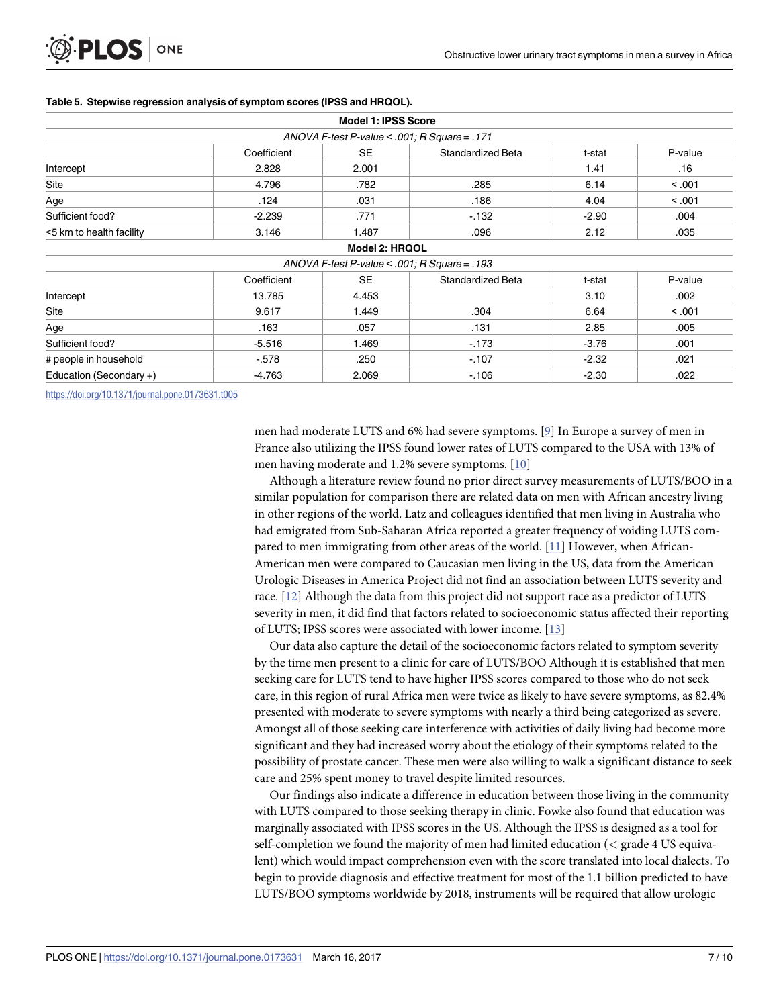<span id="page-6-0"></span>

|  |  |  | Table 5. Stepwise regression analysis of symptom scores (IPSS and HRQOL). |  |
|--|--|--|---------------------------------------------------------------------------|--|
|--|--|--|---------------------------------------------------------------------------|--|

|                          |             | <b>Model 1: IPSS Score</b>                   |                   |         |         |
|--------------------------|-------------|----------------------------------------------|-------------------|---------|---------|
|                          |             | ANOVA F-test P-value < .001; R Square = .171 |                   |         |         |
|                          | Coefficient | <b>SE</b>                                    | Standardized Beta | t-stat  | P-value |
| Intercept                | 2.828       | 2.001                                        |                   | 1.41    | .16     |
| Site                     | 4.796       | .782                                         | .285              | 6.14    | < .001  |
| Age                      | .124        | .031                                         | .186              | 4.04    | < .001  |
| Sufficient food?         | $-2.239$    | .771                                         | $-132$            | $-2.90$ | .004    |
| <5 km to health facility | 3.146       | 1.487                                        | .096              | 2.12    | .035    |
|                          |             | Model 2: HRQOL                               |                   |         |         |
|                          |             | ANOVA F-test P-value < .001; R Square = .193 |                   |         |         |
|                          | Coefficient | <b>SE</b>                                    | Standardized Beta | t-stat  | P-value |
| Intercept                | 13.785      | 4.453                                        |                   | 3.10    | .002    |
| Site                     | 9.617       | 1.449                                        | .304              | 6.64    | < .001  |
| Age                      | .163        | .057                                         | .131              | 2.85    | .005    |
| Sufficient food?         | $-5.516$    | 1.469                                        | $-173$            | $-3.76$ | .001    |
| # people in household    | $-578$      | .250                                         | $-107$            | $-2.32$ | .021    |
| Education (Secondary +)  | $-4.763$    | 2.069                                        | $-106$            | $-2.30$ | .022    |

<https://doi.org/10.1371/journal.pone.0173631.t005>

men had moderate LUTS and 6% had severe symptoms. [\[9\]](#page-8-0) In Europe a survey of men in France also utilizing the IPSS found lower rates of LUTS compared to the USA with 13% of men having moderate and 1.2% severe symptoms. [\[10\]](#page-8-0)

Although a literature review found no prior direct survey measurements of LUTS/BOO in a similar population for comparison there are related data on men with African ancestry living in other regions of the world. Latz and colleagues identified that men living in Australia who had emigrated from Sub-Saharan Africa reported a greater frequency of voiding LUTS compared to men immigrating from other areas of the world. [[11](#page-8-0)] However, when African-American men were compared to Caucasian men living in the US, data from the American Urologic Diseases in America Project did not find an association between LUTS severity and race. [\[12\]](#page-9-0) Although the data from this project did not support race as a predictor of LUTS severity in men, it did find that factors related to socioeconomic status affected their reporting of LUTS; IPSS scores were associated with lower income. [[13](#page-9-0)]

Our data also capture the detail of the socioeconomic factors related to symptom severity by the time men present to a clinic for care of LUTS/BOO Although it is established that men seeking care for LUTS tend to have higher IPSS scores compared to those who do not seek care, in this region of rural Africa men were twice as likely to have severe symptoms, as 82.4% presented with moderate to severe symptoms with nearly a third being categorized as severe. Amongst all of those seeking care interference with activities of daily living had become more significant and they had increased worry about the etiology of their symptoms related to the possibility of prostate cancer. These men were also willing to walk a significant distance to seek care and 25% spent money to travel despite limited resources.

Our findings also indicate a difference in education between those living in the community with LUTS compared to those seeking therapy in clinic. Fowke also found that education was marginally associated with IPSS scores in the US. Although the IPSS is designed as a tool for self-completion we found the majority of men had limited education (*<* grade 4 US equivalent) which would impact comprehension even with the score translated into local dialects. To begin to provide diagnosis and effective treatment for most of the 1.1 billion predicted to have LUTS/BOO symptoms worldwide by 2018, instruments will be required that allow urologic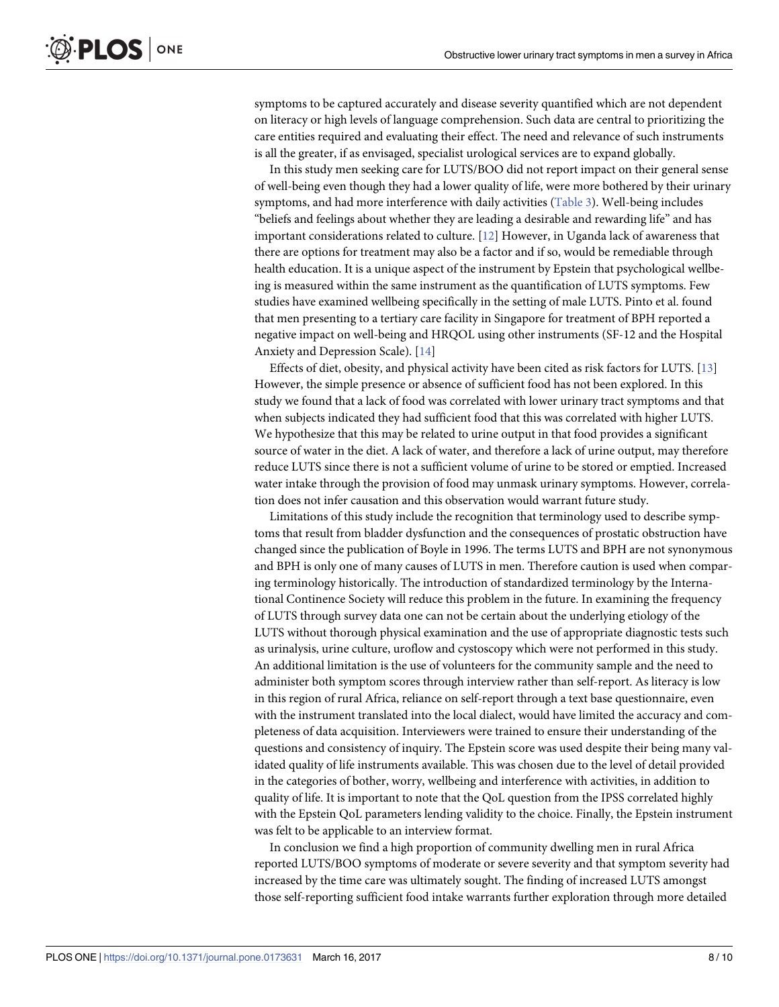<span id="page-7-0"></span>symptoms to be captured accurately and disease severity quantified which are not dependent on literacy or high levels of language comprehension. Such data are central to prioritizing the care entities required and evaluating their effect. The need and relevance of such instruments is all the greater, if as envisaged, specialist urological services are to expand globally.

In this study men seeking care for LUTS/BOO did not report impact on their general sense of well-being even though they had a lower quality of life, were more bothered by their urinary symptoms, and had more interference with daily activities ([Table](#page-5-0) 3). Well-being includes "beliefs and feelings about whether they are leading a desirable and rewarding life" and has important considerations related to culture. [\[12\]](#page-9-0) However, in Uganda lack of awareness that there are options for treatment may also be a factor and if so, would be remediable through health education. It is a unique aspect of the instrument by Epstein that psychological wellbeing is measured within the same instrument as the quantification of LUTS symptoms. Few studies have examined wellbeing specifically in the setting of male LUTS. Pinto et al. found that men presenting to a tertiary care facility in Singapore for treatment of BPH reported a negative impact on well-being and HRQOL using other instruments (SF-12 and the Hospital Anxiety and Depression Scale). [[14](#page-9-0)]

Effects of diet, obesity, and physical activity have been cited as risk factors for LUTS. [\[13\]](#page-9-0) However, the simple presence or absence of sufficient food has not been explored. In this study we found that a lack of food was correlated with lower urinary tract symptoms and that when subjects indicated they had sufficient food that this was correlated with higher LUTS. We hypothesize that this may be related to urine output in that food provides a significant source of water in the diet. A lack of water, and therefore a lack of urine output, may therefore reduce LUTS since there is not a sufficient volume of urine to be stored or emptied. Increased water intake through the provision of food may unmask urinary symptoms. However, correlation does not infer causation and this observation would warrant future study.

Limitations of this study include the recognition that terminology used to describe symptoms that result from bladder dysfunction and the consequences of prostatic obstruction have changed since the publication of Boyle in 1996. The terms LUTS and BPH are not synonymous and BPH is only one of many causes of LUTS in men. Therefore caution is used when comparing terminology historically. The introduction of standardized terminology by the International Continence Society will reduce this problem in the future. In examining the frequency of LUTS through survey data one can not be certain about the underlying etiology of the LUTS without thorough physical examination and the use of appropriate diagnostic tests such as urinalysis, urine culture, uroflow and cystoscopy which were not performed in this study. An additional limitation is the use of volunteers for the community sample and the need to administer both symptom scores through interview rather than self-report. As literacy is low in this region of rural Africa, reliance on self-report through a text base questionnaire, even with the instrument translated into the local dialect, would have limited the accuracy and completeness of data acquisition. Interviewers were trained to ensure their understanding of the questions and consistency of inquiry. The Epstein score was used despite their being many validated quality of life instruments available. This was chosen due to the level of detail provided in the categories of bother, worry, wellbeing and interference with activities, in addition to quality of life. It is important to note that the QoL question from the IPSS correlated highly with the Epstein QoL parameters lending validity to the choice. Finally, the Epstein instrument was felt to be applicable to an interview format.

In conclusion we find a high proportion of community dwelling men in rural Africa reported LUTS/BOO symptoms of moderate or severe severity and that symptom severity had increased by the time care was ultimately sought. The finding of increased LUTS amongst those self-reporting sufficient food intake warrants further exploration through more detailed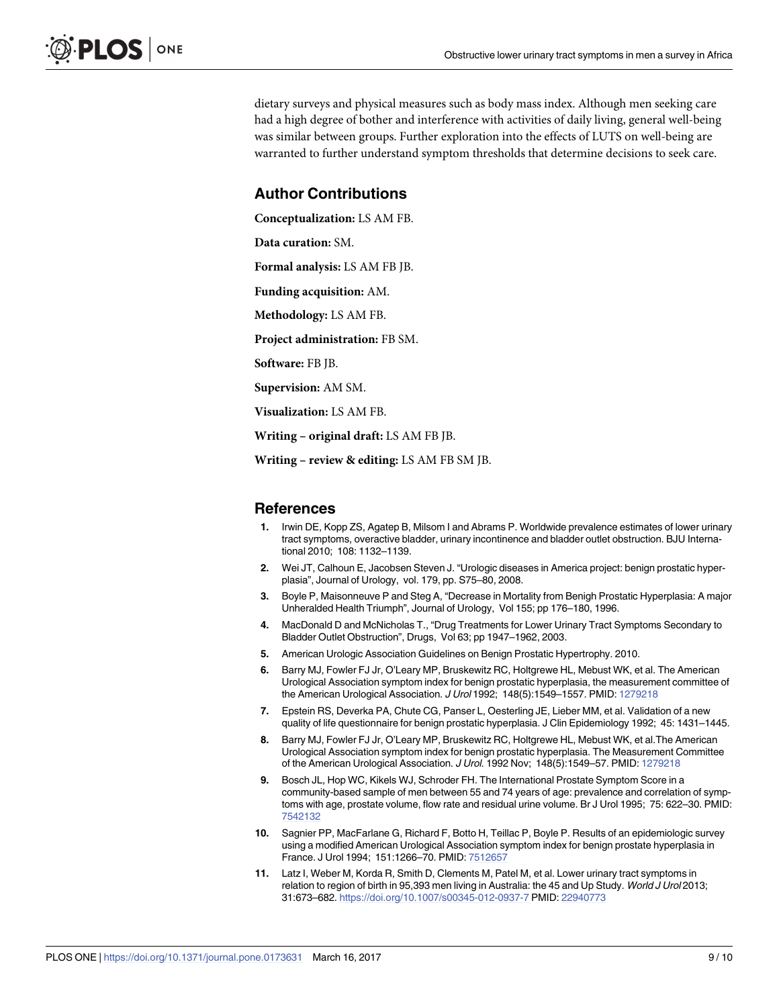<span id="page-8-0"></span>dietary surveys and physical measures such as body mass index. Although men seeking care had a high degree of bother and interference with activities of daily living, general well-being was similar between groups. Further exploration into the effects of LUTS on well-being are warranted to further understand symptom thresholds that determine decisions to seek care.

### **Author Contributions**

**Conceptualization:** LS AM FB.

**Data curation:** SM.

**Formal analysis:** LS AM FB JB.

**Funding acquisition:** AM.

**Methodology:** LS AM FB.

**Project administration:** FB SM.

**Software:** FB JB.

**Supervision:** AM SM.

**Visualization:** LS AM FB.

**Writing – original draft:** LS AM FB JB.

**Writing – review & editing:** LS AM FB SM JB.

#### **References**

- **[1](#page-1-0).** Irwin DE, Kopp ZS, Agatep B, Milsom I and Abrams P. Worldwide prevalence estimates of lower urinary tract symptoms, overactive bladder, urinary incontinence and bladder outlet obstruction. BJU International 2010; 108: 1132–1139.
- **[2](#page-1-0).** Wei JT, Calhoun E, Jacobsen Steven J. "Urologic diseases in America project: benign prostatic hyperplasia", Journal of Urology, vol. 179, pp. S75–80, 2008.
- **[3](#page-1-0).** Boyle P, Maisonneuve P and Steg A, "Decrease in Mortality from Benigh Prostatic Hyperplasia: A major Unheralded Health Triumph", Journal of Urology, Vol 155; pp 176–180, 1996.
- **[4](#page-1-0).** MacDonald D and McNicholas T., "Drug Treatments for Lower Urinary Tract Symptoms Secondary to Bladder Outlet Obstruction", Drugs, Vol 63; pp 1947–1962, 2003.
- **[5](#page-1-0).** American Urologic Association Guidelines on Benign Prostatic Hypertrophy. 2010.
- **[6](#page-2-0).** Barry MJ, Fowler FJ Jr, O'Leary MP, Bruskewitz RC, Holtgrewe HL, Mebust WK, et al. The American Urological Association symptom index for benign prostatic hyperplasia, the measurement committee of the American Urological Association. J Urol 1992; 148(5):1549–1557. PMID: [1279218](http://www.ncbi.nlm.nih.gov/pubmed/1279218)
- **[7](#page-2-0).** Epstein RS, Deverka PA, Chute CG, Panser L, Oesterling JE, Lieber MM, et al. Validation of a new quality of life questionnaire for benign prostatic hyperplasia. J Clin Epidemiology 1992; 45: 1431–1445.
- **[8](#page-2-0).** Barry MJ, Fowler FJ Jr, O'Leary MP, Bruskewitz RC, Holtgrewe HL, Mebust WK, et al.The American Urological Association symptom index for benign prostatic hyperplasia. The Measurement Committee of the American Urological Association. J Urol. 1992 Nov; 148(5):1549–57. PMID: [1279218](http://www.ncbi.nlm.nih.gov/pubmed/1279218)
- **[9](#page-6-0).** Bosch JL, Hop WC, Kikels WJ, Schroder FH. The International Prostate Symptom Score in a community-based sample of men between 55 and 74 years of age: prevalence and correlation of symptoms with age, prostate volume, flow rate and residual urine volume. Br J Urol 1995; 75: 622–30. PMID: [7542132](http://www.ncbi.nlm.nih.gov/pubmed/7542132)
- **[10](#page-6-0).** Sagnier PP, MacFarlane G, Richard F, Botto H, Teillac P, Boyle P. Results of an epidemiologic survey using a modified American Urological Association symptom index for benign prostate hyperplasia in France. J Urol 1994; 151:1266–70. PMID: [7512657](http://www.ncbi.nlm.nih.gov/pubmed/7512657)
- **[11](#page-6-0).** Latz I, Weber M, Korda R, Smith D, Clements M, Patel M, et al. Lower urinary tract symptoms in relation to region of birth in 95,393 men living in Australia: the 45 and Up Study. World J Urol 2013; 31:673–682. <https://doi.org/10.1007/s00345-012-0937-7> PMID: [22940773](http://www.ncbi.nlm.nih.gov/pubmed/22940773)